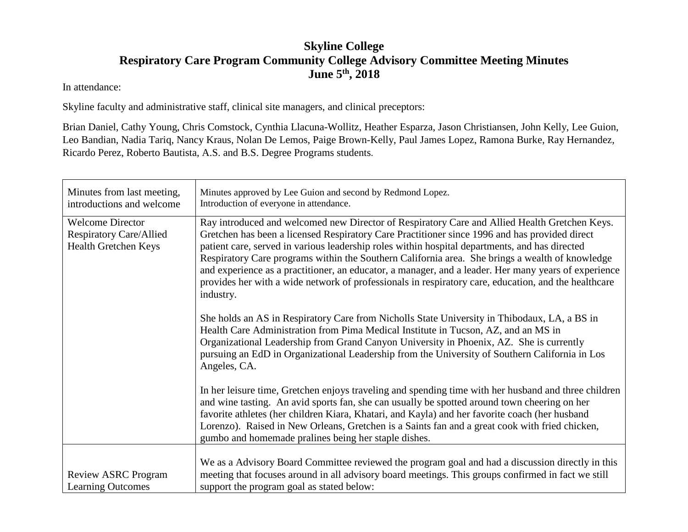## **Skyline College Respiratory Care Program Community College Advisory Committee Meeting Minutes June 5th, 2018**

In attendance:

Skyline faculty and administrative staff, clinical site managers, and clinical preceptors:

Brian Daniel, Cathy Young, Chris Comstock, Cynthia Llacuna-Wollitz, Heather Esparza, Jason Christiansen, John Kelly, Lee Guion, Leo Bandian, Nadia Tariq, Nancy Kraus, Nolan De Lemos, Paige Brown-Kelly, Paul James Lopez, Ramona Burke, Ray Hernandez, Ricardo Perez, Roberto Bautista, A.S. and B.S. Degree Programs students.

| Minutes from last meeting,<br>introductions and welcome                           | Minutes approved by Lee Guion and second by Redmond Lopez.<br>Introduction of everyone in attendance.                                                                                                                                                                                                                                                                                                                                                                                                                                                                                                                            |
|-----------------------------------------------------------------------------------|----------------------------------------------------------------------------------------------------------------------------------------------------------------------------------------------------------------------------------------------------------------------------------------------------------------------------------------------------------------------------------------------------------------------------------------------------------------------------------------------------------------------------------------------------------------------------------------------------------------------------------|
| <b>Welcome Director</b><br><b>Respiratory Care/Allied</b><br>Health Gretchen Keys | Ray introduced and welcomed new Director of Respiratory Care and Allied Health Gretchen Keys.<br>Gretchen has been a licensed Respiratory Care Practitioner since 1996 and has provided direct<br>patient care, served in various leadership roles within hospital departments, and has directed<br>Respiratory Care programs within the Southern California area. She brings a wealth of knowledge<br>and experience as a practitioner, an educator, a manager, and a leader. Her many years of experience<br>provides her with a wide network of professionals in respiratory care, education, and the healthcare<br>industry. |
|                                                                                   | She holds an AS in Respiratory Care from Nicholls State University in Thibodaux, LA, a BS in<br>Health Care Administration from Pima Medical Institute in Tucson, AZ, and an MS in<br>Organizational Leadership from Grand Canyon University in Phoenix, AZ. She is currently<br>pursuing an EdD in Organizational Leadership from the University of Southern California in Los<br>Angeles, CA.                                                                                                                                                                                                                                  |
|                                                                                   | In her leisure time, Gretchen enjoys traveling and spending time with her husband and three children<br>and wine tasting. An avid sports fan, she can usually be spotted around town cheering on her<br>favorite athletes (her children Kiara, Khatari, and Kayla) and her favorite coach (her husband<br>Lorenzo). Raised in New Orleans, Gretchen is a Saints fan and a great cook with fried chicken,<br>gumbo and homemade pralines being her staple dishes.                                                                                                                                                                 |
| <b>Review ASRC Program</b><br><b>Learning Outcomes</b>                            | We as a Advisory Board Committee reviewed the program goal and had a discussion directly in this<br>meeting that focuses around in all advisory board meetings. This groups confirmed in fact we still<br>support the program goal as stated below:                                                                                                                                                                                                                                                                                                                                                                              |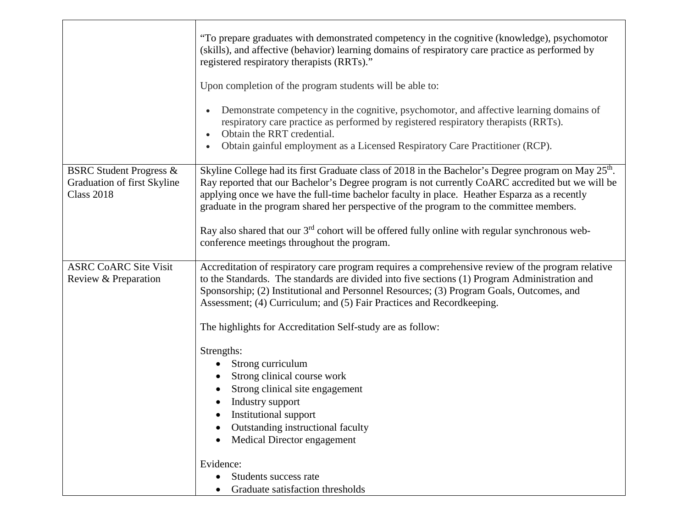|                                                                                        | "To prepare graduates with demonstrated competency in the cognitive (knowledge), psychomotor<br>(skills), and affective (behavior) learning domains of respiratory care practice as performed by<br>registered respiratory therapists (RRTs)."                                                                                                                                                                 |
|----------------------------------------------------------------------------------------|----------------------------------------------------------------------------------------------------------------------------------------------------------------------------------------------------------------------------------------------------------------------------------------------------------------------------------------------------------------------------------------------------------------|
|                                                                                        | Upon completion of the program students will be able to:                                                                                                                                                                                                                                                                                                                                                       |
|                                                                                        | Demonstrate competency in the cognitive, psychomotor, and affective learning domains of<br>respiratory care practice as performed by registered respiratory therapists (RRTs).<br>Obtain the RRT credential.<br>Obtain gainful employment as a Licensed Respiratory Care Practitioner (RCP).                                                                                                                   |
| <b>BSRC Student Progress &amp;</b><br>Graduation of first Skyline<br><b>Class 2018</b> | Skyline College had its first Graduate class of 2018 in the Bachelor's Degree program on May 25 <sup>th</sup> .<br>Ray reported that our Bachelor's Degree program is not currently CoARC accredited but we will be<br>applying once we have the full-time bachelor faculty in place. Heather Esparza as a recently<br>graduate in the program shared her perspective of the program to the committee members. |
|                                                                                        | Ray also shared that our $3rd$ cohort will be offered fully online with regular synchronous web-<br>conference meetings throughout the program.                                                                                                                                                                                                                                                                |
| <b>ASRC CoARC Site Visit</b><br>Review & Preparation                                   | Accreditation of respiratory care program requires a comprehensive review of the program relative<br>to the Standards. The standards are divided into five sections (1) Program Administration and<br>Sponsorship; (2) Institutional and Personnel Resources; (3) Program Goals, Outcomes, and<br>Assessment; (4) Curriculum; and (5) Fair Practices and Recordkeeping.                                        |
|                                                                                        | The highlights for Accreditation Self-study are as follow:                                                                                                                                                                                                                                                                                                                                                     |
|                                                                                        | Strengths:<br>Strong curriculum<br>Strong clinical course work<br>Strong clinical site engagement<br>Industry support<br>Institutional support<br>Outstanding instructional faculty<br>Medical Director engagement<br>Evidence:                                                                                                                                                                                |
|                                                                                        | Students success rate<br>$\bullet$<br>Graduate satisfaction thresholds                                                                                                                                                                                                                                                                                                                                         |